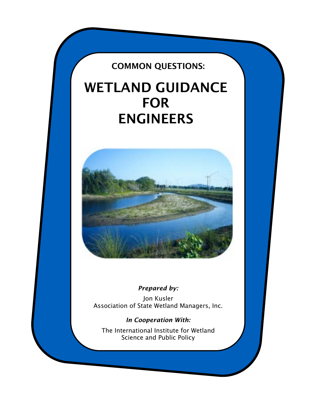# COMMON QUESTIONS:

# WETLAND GUIDANCE FOR ENGINEERS



# *Prepared by:*

i,

Jon Kusler Association of State Wetland Managers, Inc.

*In Cooperation With:*  The International Institute for Wetland Science and Public Policy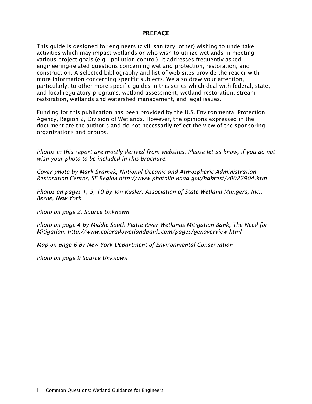# PREFACE

This guide is designed for engineers (civil, sanitary, other) wishing to undertake activities which may impact wetlands or who wish to utilize wetlands in meeting various project goals (e.g., pollution control). It addresses frequently asked engineering-related questions concerning wetland protection, restoration, and construction. A selected bibliography and list of web sites provide the reader with more information concerning specific subjects. We also draw your attention, particularly, to other more specific guides in this series which deal with federal, state, and local regulatory programs, wetland assessment, wetland restoration, stream restoration, wetlands and watershed management, and legal issues.

Funding for this publication has been provided by the U.S. Environmental Protection Agency, Region 2, Division of Wetlands. However, the opinions expressed in the document are the author's and do not necessarily reflect the view of the sponsoring organizations and groups.

*Photos in this report are mostly derived from websites. Please let us know, if you do not wish your photo to be included in this brochure.* 

*Cover photo by Mark Sramek, National Oceanic and Atmospheric Administration Restoration Center, SE Region http://www.photolib.noaa.gov/habrest/r0022904.htm* 

*Photos on pages 1, 5, 10 by Jon Kusler, Association of State Wetland Mangers, Inc., Berne, New York* 

*Photo on page 2, Source Unknown* 

*Photo on page 4 by Middle South Platte River Wetlands Mitigation Bank, The Need for Mitigation. http://www.coloradowetlandbank.com/pages/genoverview.html* 

*Map on page 6 by New York Department of Environmental Conservation* 

*Photo on page 9 Source Unknown*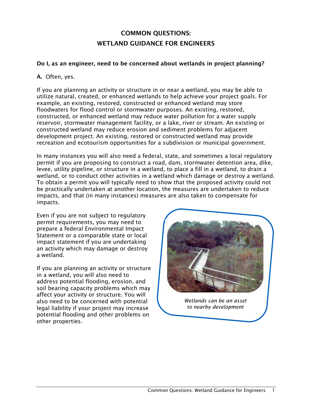# COMMON QUESTIONS: WETLAND GUIDANCE FOR ENGINEERS

#### Do I, as an engineer, need to be concerned about wetlands in project planning?

#### A. Often, yes.

If you are planning an activity or structure in or near a wetland, you may be able to utilize natural, created, or enhanced wetlands to help achieve your project goals. For example, an existing, restored, constructed or enhanced wetland may store floodwaters for flood control or stormwater purposes. An existing, restored, constructed, or enhanced wetland may reduce water pollution for a water supply reservoir, stormwater management facility, or a lake, river or stream. An existing or constructed wetland may reduce erosion and sediment problems for adjacent development project. An existing, restored or constructed wetland may provide recreation and ecotourism opportunities for a subdivision or municipal government.

In many instances you will also need a federal, state, and sometimes a local regulatory permit if you are proposing to construct a road, dam, stormwater detention area, dike, levee, utility pipeline, or structure in a wetland, to place a fill in a wetland, to drain a wetland, or to conduct other activities in a wetland which damage or destroy a wetland. To obtain a permit you will typically need to show that the proposed activity could not be practically undertaken at another location, the measures are undertaken to reduce impacts, and that (in many instances) measures are also taken to compensate for impacts.

Even if you are not subject to regulatory permit requirements, you may need to prepare a federal Environmental Impact Statement or a comparable state or local impact statement if you are undertaking an activity which may damage or destroy a wetland.

If you are planning an activity or structure in a wetland, you will also need to address potential flooding, erosion, and soil bearing capacity problems which may affect your activity or structure. You will also need to be concerned with potential legal liability if your project may increase potential flooding and other problems on other properties.



*Wetlands can be an asset to nearby development*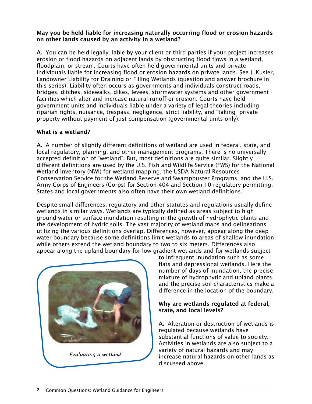## May you be held liable for increasing naturally occurring flood or erosion hazards on other lands caused by an activity in a wetland?

A. You can be held legally liable by your client or third parties if your project increases erosion or flood hazards on adjacent lands by obstructing flood flows in a wetland, floodplain, or stream. Courts have often held governmental units and private individuals liable for increasing flood or erosion hazards on private lands. See J. Kusler, Landowner Liability for Draining or Filling Wetlands (question and answer brochure in this series). Liability often occurs as governments and individuals construct roads, bridges, ditches, sidewalks, dikes, levees, stormwater systems and other government facilities which alter and increase natural runoff or erosion. Courts have held government units and individuals liable under a variety of legal theories including riparian rights, nuisance, trespass, negligence, strict liability, and "taking" private property without payment of just compensation (governmental units only).

# What is a wetland?

A. A number of slightly different definitions of wetland are used in federal, state, and local regulatory, planning, and other management programs. There is no universally accepted definition of "wetland". But, most definitions are quite similar. Slightly different definitions are used by the U.S. Fish and Wildlife Service (FWS) for the National Wetland Inventory (NWI) for wetland mapping, the USDA Natural Resources Conservation Service for the Wetland Reserve and Swampbuster Programs, and the U.S. Army Corps of Engineers (Corps) for Section 404 and Section 10 regulatory permitting. States and local governments also often have their own wetland definitions.

Despite small differences, regulatory and other statutes and regulations usually define wetlands in similar ways. Wetlands are typically defined as areas subject to high ground water or surface inundation resulting in the growth of hydrophytic plants and the development of hydric soils. The vast majority of wetland maps and delineations utilizing the various definitions overlap. Differences, however, appear along the deep water boundary because some definitions limit wetlands to areas of shallow inundation while others extend the wetland boundary to two to six meters. Differences also appear along the upland boundary for low gradient wetlands and for wetlands subject



to infrequent inundation such as some flats and depressional wetlands. Here the number of days of inundation, the precise mixture of hydrophytic and upland plants, and the precise soil characteristics make a difference in the location of the boundary.

# Why are wetlands regulated at federal, state, and local levels?

A. Alteration or destruction of wetlands is regulated because wetlands have substantial functions of value to society. Activities in wetlands are also subject to a variety of natural hazards and may increase natural hazards on other lands as discussed above.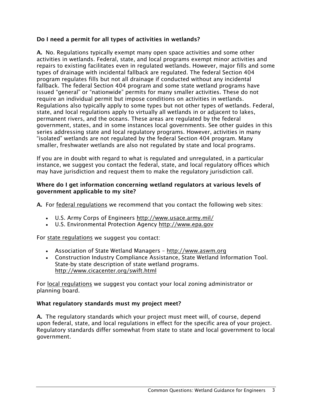# Do I need a permit for all types of activities in wetlands?

A. No. Regulations typically exempt many open space activities and some other activities in wetlands. Federal, state, and local programs exempt minor activities and repairs to existing facilitates even in regulated wetlands. However, major fills and some types of drainage with incidental fallback are regulated. The federal Section 404 program regulates fills but not all drainage if conducted without any incidental fallback. The federal Section 404 program and some state wetland programs have issued "general" or "nationwide" permits for many smaller activities. These do not require an individual permit but impose conditions on activities in wetlands. Regulations also typically apply to some types but not other types of wetlands. Federal, state, and local regulations apply to virtually all wetlands in or adjacent to lakes, permanent rivers, and the oceans. These areas are regulated by the federal government, states, and in some instances local governments. See other guides in this series addressing state and local regulatory programs. However, activities in many "isolated" wetlands are not regulated by the federal Section 404 program. Many smaller, freshwater wetlands are also not regulated by state and local programs.

If you are in doubt with regard to what is regulated and unregulated, in a particular instance, we suggest you contact the federal, state, and local regulatory offices which may have jurisdiction and request them to make the regulatory jurisdiction call.

#### Where do I get information concerning wetland regulators at various levels of government applicable to my site?

A. For federal regulations we recommend that you contact the following web sites:

- U.S. Army Corps of Engineers http://www.usace.army.mil/
- U.S. Environmental Protection Agency http://www.epa.gov

For state regulations we suggest you contact:

- Association of State Wetland Managers http://www.aswm.org
- Construction Industry Compliance Assistance, State Wetland Information Tool. State-by state description of state wetland programs. http://www.cicacenter.org/swift.html

For local regulations we suggest you contact your local zoning administrator or planning board.

# What regulatory standards must my project meet?

A. The regulatory standards which your project must meet will, of course, depend upon federal, state, and local regulations in effect for the specific area of your project. Regulatory standards differ somewhat from state to state and local government to local government.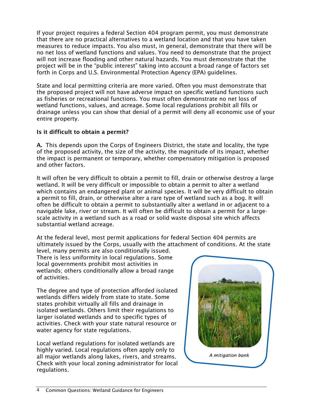If your project requires a federal Section 404 program permit, you must demonstrate that there are no practical alternatives to a wetland location and that you have taken measures to reduce impacts. You also must, in general, demonstrate that there will be no net loss of wetland functions and values. You need to demonstrate that the project will not increase flooding and other natural hazards. You must demonstrate that the project will be in the "public interest" taking into account a broad range of factors set forth in Corps and U.S. Environmental Protection Agency (EPA) guidelines.

State and local permitting criteria are more varied. Often you must demonstrate that the proposed project will not have adverse impact on specific wetland functions such as fisheries or recreational functions. You must often demonstrate no net loss of wetland functions, values, and acreage. Some local regulations prohibit all fills or drainage unless you can show that denial of a permit will deny all economic use of your entire property.

# Is it difficult to obtain a permit?

A. This depends upon the Corps of Engineers District, the state and locality, the type of the proposed activity, the size of the activity, the magnitude of its impact, whether the impact is permanent or temporary, whether compensatory mitigation is proposed and other factors.

It will often be very difficult to obtain a permit to fill, drain or otherwise destroy a large wetland. It will be very difficult or impossible to obtain a permit to alter a wetland which contains an endangered plant or animal species. It will be very difficult to obtain a permit to fill, drain, or otherwise alter a rare type of wetland such as a bog. It will often be difficult to obtain a permit to substantially alter a wetland in or adjacent to a navigable lake, river or stream. It will often be difficult to obtain a permit for a largescale activity in a wetland such as a road or solid waste disposal site which affects substantial wetland acreage.

At the federal level, most permit applications for federal Section 404 permits are ultimately issued by the Corps, usually with the attachment of conditions. At the state

level, many permits are also conditionally issued. There is less uniformity in local regulations. Some local governments prohibit most activities in wetlands; others conditionally allow a broad range of activities.

The degree and type of protection afforded isolated wetlands differs widely from state to state. Some states prohibit virtually all fills and drainage in isolated wetlands. Others limit their regulations to larger isolated wetlands and to specific types of activities. Check with your state natural resource or water agency for state regulations.

Local wetland regulations for isolated wetlands are highly varied. Local regulations often apply only to all major wetlands along lakes, rivers, and streams. Check with your local zoning administrator for local regulations.

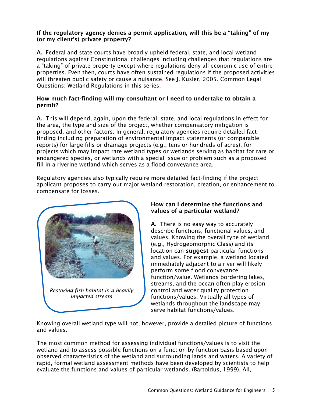## If the regulatory agency denies a permit application, will this be a "taking" of my (or my client's) private property?

A. Federal and state courts have broadly upheld federal, state, and local wetland regulations against Constitutional challenges including challenges that regulations are a "taking" of private property except where regulations deny all economic use of entire properties. Even then, courts have often sustained regulations if the proposed activities will threaten public safety or cause a nuisance. See J. Kusler, 2005. Common Legal Questions: Wetland Regulations in this series.

# How much fact-finding will my consultant or I need to undertake to obtain a permit?

A. This will depend, again, upon the federal, state, and local regulations in effect for the area, the type and size of the project, whether compensatory mitigation is proposed, and other factors. In general, regulatory agencies require detailed factfinding including preparation of environmental impact statements (or comparable reports) for large fills or drainage projects (e.g., tens or hundreds of acres), for projects which may impact rare wetland types or wetlands serving as habitat for rare or endangered species, or wetlands with a special issue or problem such as a proposed fill in a riverine wetland which serves as a flood conveyance area.

Regulatory agencies also typically require more detailed fact-finding if the project applicant proposes to carry out major wetland restoration, creation, or enhancement to compensate for losses.



# How can I determine the functions and values of a particular wetland?

A. There is no easy way to accurately describe functions, functional values, and values. Knowing the overall type of wetland (e.g., Hydrogeomorphic Class) and its location can suggest particular functions and values. For example, a wetland located immediately adjacent to a river will likely perform some flood conveyance function/value. Wetlands bordering lakes, streams, and the ocean often play erosion control and water quality protection functions/values. Virtually all types of wetlands throughout the landscape may serve habitat functions/values.

Knowing overall wetland type will not, however, provide a detailed picture of functions and values.

The most common method for assessing individual functions/values is to visit the wetland and to assess possible functions on a function-by-function basis based upon observed characteristics of the wetland and surrounding lands and waters. A variety of rapid, formal wetland assessment methods have been developed by scientists to help evaluate the functions and values of particular wetlands. (Bartoldus, 1999). All,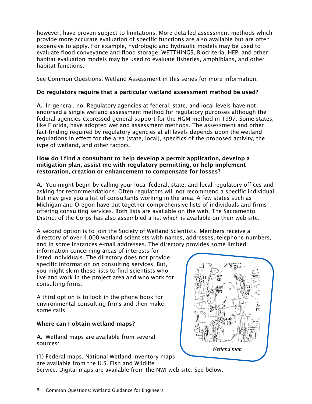however, have proven subject to limitations. More detailed assessment methods which provide more accurate evaluation of specific functions are also available but are often expensive to apply. For example, hydrologic and hydraulic models may be used to evaluate flood conveyance and flood storage. WETTHINGS, Biocriteria, HEP, and other habitat evaluation models may be used to evaluate fisheries, amphibians, and other habitat functions.

See Common Questions: Wetland Assessment in this series for more information.

# Do regulators require that a particular wetland assessment method be used?

A. In general, no. Regulatory agencies at federal, state, and local levels have not endorsed a single wetland assessment method for regulatory purposes although the federal agencies expressed general support for the HGM method in 1997. Some states, like Florida, have adopted wetland assessment methods. The assessment and other fact-finding required by regulatory agencies at all levels depends upon the wetland regulations in effect for the area (state, local), specifics of the proposed activity, the type of wetland, and other factors.

#### How do I find a consultant to help develop a permit application, develop a mitigation plan, assist me with regulatory permitting, or help implement restoration, creation or enhancement to compensate for losses?

A. You might begin by calling your local federal, state, and local regulatory offices and asking for recommendations. Often regulators will not recommend a specific individual but may give you a list of consultants working in the area. A few states such as Michigan and Oregon have put together comprehensive lists of individuals and firms offering consulting services. Both lists are available on the web. The Sacramento District of the Corps has also assembled a list which is available on their web site.

A second option is to join the Society of Wetland Scientists. Members receive a directory of over 4,000 wetland scientists with names, addresses, telephone numbers, and in some instances e-mail addresses. The directory provides some limited

information concerning areas of interests for listed individuals. The directory does not provide specific information on consulting services. But, you might skim these lists to find scientists who live and work in the project area and who work for consulting firms.

A third option is to look in the phone book for environmental consulting firms and then make some calls.

# Where can I obtain wetland maps?

A. Wetland maps are available from several sources:



(1) Federal maps. National Wetland Inventory maps are available from the U.S. Fish and Wildlife Service. Digital maps are available from the NWI web site. See below.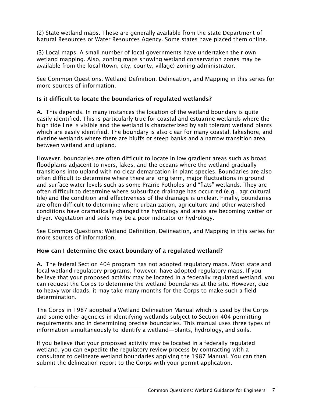(2) State wetland maps. These are generally available from the state Department of Natural Resources or Water Resources Agency. Some states have placed them online.

(3) Local maps. A small number of local governments have undertaken their own wetland mapping. Also, zoning maps showing wetland conservation zones may be available from the local (town, city, county, village) zoning administrator.

See Common Questions: Wetland Definition, Delineation, and Mapping in this series for more sources of information.

## Is it difficult to locate the boundaries of regulated wetlands?

A. This depends. In many instances the location of the wetland boundary is quite easily identified. This is particularly true for coastal and estuarine wetlands where the high tide line is visible and the wetland is characterized by salt tolerant wetland plants which are easily identified. The boundary is also clear for many coastal, lakeshore, and riverine wetlands where there are bluffs or steep banks and a narrow transition area between wetland and upland.

However, boundaries are often difficult to locate in low gradient areas such as broad floodplains adjacent to rivers, lakes, and the oceans where the wetland gradually transitions into upland with no clear demarcation in plant species. Boundaries are also often difficult to determine where there are long term, major fluctuations in ground and surface water levels such as some Prairie Potholes and "flats" wetlands. They are often difficult to determine where subsurface drainage has occurred (e.g., agricultural tile) and the condition and effectiveness of the drainage is unclear. Finally, boundaries are often difficult to determine where urbanization, agriculture and other watershed conditions have dramatically changed the hydrology and areas are becoming wetter or dryer. Vegetation and soils may be a poor indicator or hydrology.

See Common Questions: Wetland Definition, Delineation, and Mapping in this series for more sources of information.

#### How can I determine the exact boundary of a regulated wetland?

A. The federal Section 404 program has not adopted regulatory maps. Most state and local wetland regulatory programs, however, have adopted regulatory maps. If you believe that your proposed activity may be located in a federally regulated wetland, you can request the Corps to determine the wetland boundaries at the site. However, due to heavy workloads, it may take many months for the Corps to make such a field determination.

The Corps in 1987 adopted a Wetland Delineation Manual which is used by the Corps and some other agencies in identifying wetlands subject to Section 404 permitting requirements and in determining precise boundaries. This manual uses three types of information simultaneously to identify a wetland—plants, hydrology, and soils.

If you believe that your proposed activity may be located in a federally regulated wetland, you can expedite the regulatory review process by contracting with a consultant to delineate wetland boundaries applying the 1987 Manual. You can then submit the delineation report to the Corps with your permit application.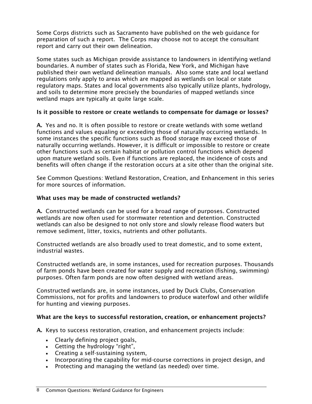Some Corps districts such as Sacramento have published on the web guidance for preparation of such a report. The Corps may choose not to accept the consultant report and carry out their own delineation.

Some states such as Michigan provide assistance to landowners in identifying wetland boundaries. A number of states such as Florida, New York, and Michigan have published their own wetland delineation manuals. Also some state and local wetland regulations only apply to areas which are mapped as wetlands on local or state regulatory maps. States and local governments also typically utilize plants, hydrology, and soils to determine more precisely the boundaries of mapped wetlands since wetland maps are typically at quite large scale.

### Is it possible to restore or create wetlands to compensate for damage or losses?

A. Yes and no. It is often possible to restore or create wetlands with some wetland functions and values equaling or exceeding those of naturally occurring wetlands. In some instances the specific functions such as flood storage may exceed those of naturally occurring wetlands. However, it is difficult or impossible to restore or create other functions such as certain habitat or pollution control functions which depend upon mature wetland soils. Even if functions are replaced, the incidence of costs and benefits will often change if the restoration occurs at a site other than the original site.

See Common Questions: Wetland Restoration, Creation, and Enhancement in this series for more sources of information.

### What uses may be made of constructed wetlands?

A. Constructed wetlands can be used for a broad range of purposes. Constructed wetlands are now often used for stormwater retention and detention. Constructed wetlands can also be designed to not only store and slowly release flood waters but remove sediment, litter, toxics, nutrients and other pollutants.

Constructed wetlands are also broadly used to treat domestic, and to some extent, industrial wastes.

Constructed wetlands are, in some instances, used for recreation purposes. Thousands of farm ponds have been created for water supply and recreation (fishing, swimming) purposes. Often farm ponds are now often designed with wetland areas.

Constructed wetlands are, in some instances, used by Duck Clubs, Conservation Commissions, not for profits and landowners to produce waterfowl and other wildlife for hunting and viewing purposes.

#### What are the keys to successful restoration, creation, or enhancement projects?

A. Keys to success restoration, creation, and enhancement projects include:

- Clearly defining project goals,
- Getting the hydrology "right",
- Creating a self-sustaining system,
- Incorporating the capability for mid-course corrections in project design, and
- Protecting and managing the wetland (as needed) over time.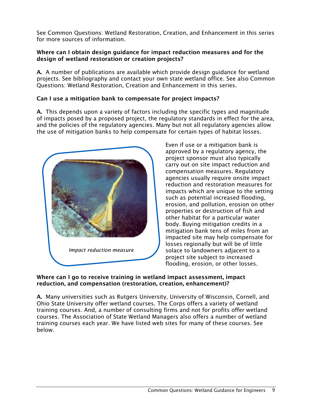See Common Questions: Wetland Restoration, Creation, and Enhancement in this series for more sources of information.

### Where can I obtain design guidance for impact reduction measures and for the design of wetland restoration or creation projects?

A. A number of publications are available which provide design guidance for wetland projects. See bibliography and contact your own state wetland office. See also Common Questions: Wetland Restoration, Creation and Enhancement in this series.

# Can I use a mitigation bank to compensate for project impacts?

A. This depends upon a variety of factors including the specific types and magnitude of impacts posed by a proposed project, the regulatory standards in effect for the area, and the policies of the regulatory agencies. Many but not all regulatory agencies allow the use of mitigation banks to help compensate for certain types of habitat losses.



Even if use or a mitigation bank is approved by a regulatory agency, the project sponsor must also typically carry out on site impact reduction and compensation measures. Regulatory agencies usually require onsite impact reduction and restoration measures for impacts which are unique to the setting such as potential increased flooding, erosion, and pollution, erosion on other properties or destruction of fish and other habitat for a particular water body. Buying mitigation credits in a mitigation bank tens of miles from an impacted site may help compensate for losses regionally but will be of little solace to landowners adjacent to a project site subject to increased flooding, erosion, or other losses.

### Where can I go to receive training in wetland impact assessment, impact reduction, and compensation (restoration, creation, enhancement)?

A. Many universities such as Rutgers University, University of Wisconsin, Cornell, and Ohio State University offer wetland courses. The Corps offers a variety of wetland training courses. And, a number of consulting firms and not for profits offer wetland courses. The Association of State Wetland Managers also offers a number of wetland training courses each year. We have listed web sites for many of these courses. See below.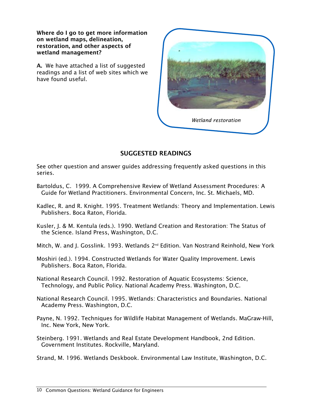Where do I go to get more information on wetland maps, delineation, restoration, and other aspects of wetland management?

A. We have attached a list of suggested readings and a list of web sites which we have found useful.



# SUGGESTED READINGS

See other question and answer guides addressing frequently asked questions in this series.

- Bartoldus, C. 1999. A Comprehensive Review of Wetland Assessment Procedures: A Guide for Wetland Practitioners. Environmental Concern, Inc. St. Michaels, MD.
- Kadlec, R. and R. Knight. 1995. Treatment Wetlands: Theory and Implementation. Lewis Publishers. Boca Raton, Florida.
- Kusler, J. & M. Kentula (eds.). 1990. Wetland Creation and Restoration: The Status of the Science. Island Press, Washington, D.C.

Mitch, W. and J. Gosslink. 1993. Wetlands 2<sup>nd</sup> Edition. Van Nostrand Reinhold, New York

Moshiri (ed.). 1994. Constructed Wetlands for Water Quality Improvement. Lewis Publishers. Boca Raton, Florida.

National Research Council. 1992. Restoration of Aquatic Ecosystems: Science, Technology, and Public Policy. National Academy Press. Washington, D.C.

- National Research Council. 1995. Wetlands: Characteristics and Boundaries. National Academy Press. Washington, D.C.
- Payne, N. 1992. Techniques for Wildlife Habitat Management of Wetlands. MaGraw-Hill, Inc. New York, New York.
- Steinberg. 1991. Wetlands and Real Estate Development Handbook, 2nd Edition. Government Institutes. Rockville, Maryland.

Strand, M. 1996. Wetlands Deskbook. Environmental Law Institute, Washington, D.C.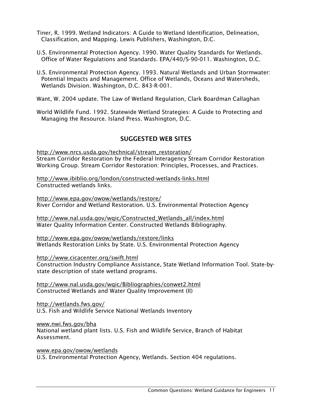- Tiner, R. 1999. Wetland Indicators: A Guide to Wetland Identification, Delineation, Classification, and Mapping. Lewis Publishers, Washington, D.C.
- U.S. Environmental Protection Agency. 1990. Water Quality Standards for Wetlands. Office of Water Regulations and Standards. EPA/440/S-90-011. Washington, D.C.
- U.S. Environmental Protection Agency. 1993. Natural Wetlands and Urban Stormwater: Potential Impacts and Management. Office of Wetlands, Oceans and Watersheds, Wetlands Division. Washington, D.C. 843-R-001.

Want, W. 2004 update. The Law of Wetland Regulation, Clark Boardman Callaghan

World Wildlife Fund. 1992. Statewide Wetland Strategies: A Guide to Protecting and Managing the Resource. Island Press. Washington, D.C.

# SUGGESTED WEB SITES

http://www.nrcs.usda.gov/technical/stream\_restoration/ Stream Corridor Restoration by the Federal Interagency Stream Corridor Restoration Working Group. Stream Corridor Restoration: Principles, Processes, and Practices.

http://www.ibiblio.org/london/constructed-wetlands-links.html Constructed wetlands links.

http://www.epa.gov/owow/wetlands/restore/ River Corridor and Wetland Restoration. U.S. Environmental Protection Agency

http://www.nal.usda.gov/wqic/Constructed\_Wetlands\_all/index.html Water Quality Information Center. Constructed Wetlands Bibliography.

http://www.epa.gov/owow/wetlands/restore/links Wetlands Restoration Links by State. U.S. Environmental Protection Agency

http://www.cicacenter.org/swift.html

Construction Industry Compliance Assistance, State Wetland Information Tool. State-bystate description of state wetland programs.

http://www.nal.usda.gov/wqic/Bibliographies/conwet2.html Constructed Wetlands and Water Quality Improvement (II)

http://wetlands.fws.gov/ U.S. Fish and Wildlife Service National Wetlands Inventory

www.nwi.fws.gov/bha

National wetland plant lists. U.S. Fish and Wildlife Service, Branch of Habitat Assessment.

www.epa.gov/owow/wetlands U.S. Environmental Protection Agency, Wetlands. Section 404 regulations.